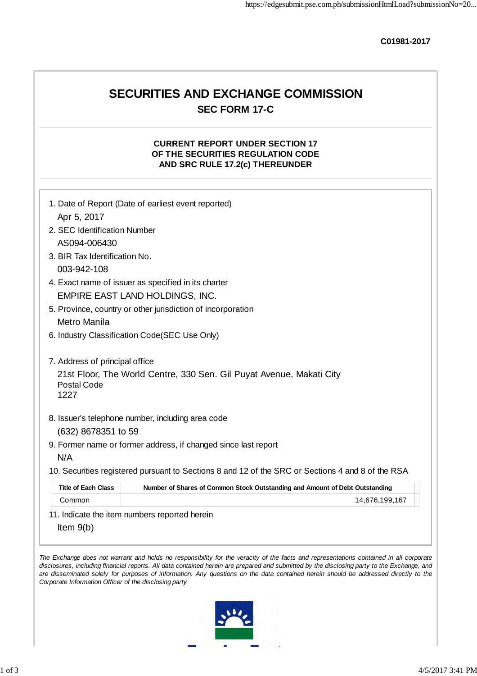**C01981-2017**

## **SECURITIES AND EXCHANGE COMMISSION SEC FORM 17-C**

## **CURRENT REPORT UNDER SECTION 17 OF THE SECURITIES REGULATION CODE AND SRC RULE 17.2(c) THEREUNDER**

| Apr 5, 2017                    |                                                                                                   |
|--------------------------------|---------------------------------------------------------------------------------------------------|
| 2. SEC Identification Number   |                                                                                                   |
| AS094-006430                   |                                                                                                   |
| 3. BIR Tax Identification No.  |                                                                                                   |
| 003-942-108                    |                                                                                                   |
|                                | 4. Exact name of issuer as specified in its charter                                               |
|                                | EMPIRE EAST LAND HOLDINGS, INC.                                                                   |
| Metro Manila                   | 5. Province, country or other jurisdiction of incorporation                                       |
|                                | 6. Industry Classification Code(SEC Use Only)                                                     |
|                                |                                                                                                   |
| 7. Address of principal office |                                                                                                   |
| <b>Postal Code</b><br>1227     | 21st Floor, The World Centre, 330 Sen. Gil Puyat Avenue, Makati City                              |
|                                | 8. Issuer's telephone number, including area code                                                 |
| (632) 8678351 to 59            |                                                                                                   |
|                                | 9. Former name or former address, if changed since last report                                    |
| N/A                            |                                                                                                   |
|                                | 10. Securities registered pursuant to Sections 8 and 12 of the SRC or Sections 4 and 8 of the RSA |
| <b>Title of Each Class</b>     | Number of Shares of Common Stock Outstanding and Amount of Debt Outstanding                       |
| Common                         | 14,676,199,167                                                                                    |
|                                | 11. Indicate the item numbers reported herein                                                     |
|                                |                                                                                                   |
|                                |                                                                                                   |

*Corporate Information Officer of the disclosing party.*

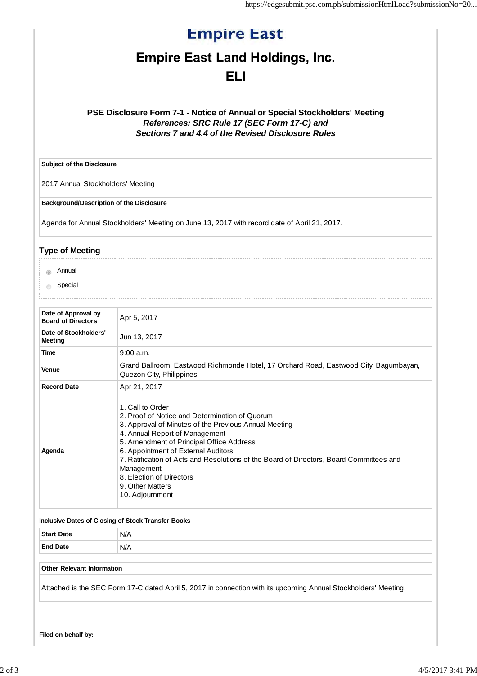# **Empire East**

## **Empire East Land Holdings, Inc.**

## **ELI**

## **PSE Disclosure Form 7-1 - Notice of Annual or Special Stockholders' Meeting** *References: SRC Rule 17 (SEC Form 17-C) and Sections 7 and 4.4 of the Revised Disclosure Rules*

**Subject of the Disclosure**

2017 Annual Stockholders' Meeting

**Background/Description of the Disclosure**

Agenda for Annual Stockholders' Meeting on June 13, 2017 with record date of April 21, 2017.

## **Type of Meeting**

- **Annual**
- **Special**

| Date of Approval by<br><b>Board of Directors</b> | Apr 5, 2017                                                                                                                                                                                                                                                                                                                                                                                                                  |  |
|--------------------------------------------------|------------------------------------------------------------------------------------------------------------------------------------------------------------------------------------------------------------------------------------------------------------------------------------------------------------------------------------------------------------------------------------------------------------------------------|--|
| Date of Stockholders'<br>Meeting                 | Jun 13, 2017                                                                                                                                                                                                                                                                                                                                                                                                                 |  |
| Time                                             | $9:00$ a.m.                                                                                                                                                                                                                                                                                                                                                                                                                  |  |
| Venue                                            | Grand Ballroom, Eastwood Richmonde Hotel, 17 Orchard Road, Eastwood City, Bagumbayan,<br>Quezon City, Philippines                                                                                                                                                                                                                                                                                                            |  |
| <b>Record Date</b>                               | Apr 21, 2017                                                                                                                                                                                                                                                                                                                                                                                                                 |  |
| Agenda                                           | 1. Call to Order<br>2. Proof of Notice and Determination of Quorum<br>3. Approval of Minutes of the Previous Annual Meeting<br>4. Annual Report of Management<br>5. Amendment of Principal Office Address<br>6. Appointment of External Auditors<br>7. Ratification of Acts and Resolutions of the Board of Directors, Board Committees and<br>Management<br>8. Election of Directors<br>9. Other Matters<br>10. Adjournment |  |

#### **Inclusive Dates of Closing of Stock Transfer Books**

| <b>Start Date</b><br>_____ | N/A  |
|----------------------------|------|
| <b>End Date</b>            | `N/A |

### **Other Relevant Information**

Attached is the SEC Form 17-C dated April 5, 2017 in connection with its upcoming Annual Stockholders' Meeting.

**Filed on behalf by:**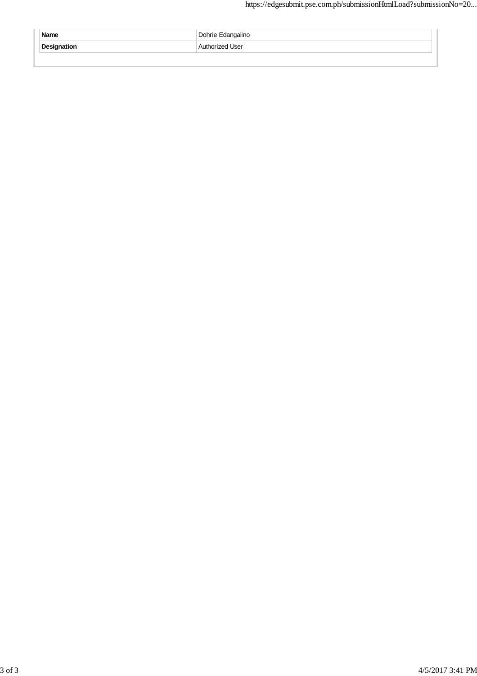| Name        | Dohrie Edangalino |
|-------------|-------------------|
| Designation | Authorized User   |
|             |                   |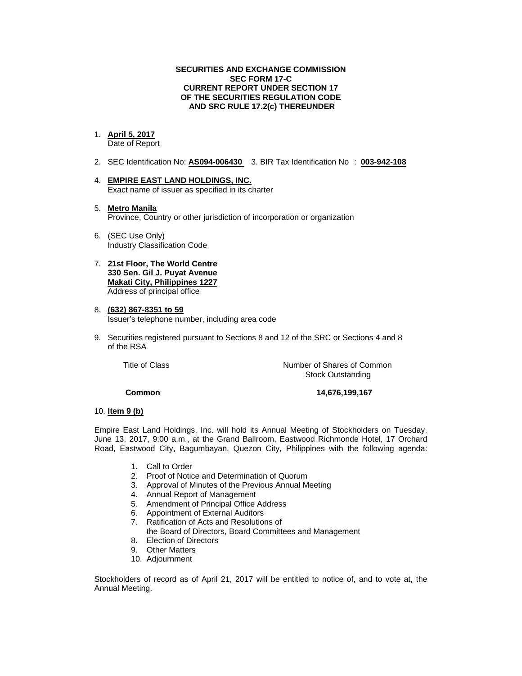#### **SECURITIES AND EXCHANGE COMMISSION SEC FORM 17-C CURRENT REPORT UNDER SECTION 17 OF THE SECURITIES REGULATION CODE AND SRC RULE 17.2(c) THEREUNDER**

### 1. **April 5, 2017**

Date of Report

- 2. SEC Identification No: **AS094-006430** 3. BIR Tax Identification No : **003-942-108**
- 4. **EMPIRE EAST LAND HOLDINGS, INC.**  Exact name of issuer as specified in its charter
- 5. **Metro Manila**  Province, Country or other jurisdiction of incorporation or organization
- 6. (SEC Use Only) Industry Classification Code
- 7. **21st Floor, The World Centre 330 Sen. Gil J. Puyat Avenue Makati City, Philippines 1227** Address of principal office
- 8. **(632) 867-8351 to 59**  Issuer's telephone number, including area code
- 9. Securities registered pursuant to Sections 8 and 12 of the SRC or Sections 4 and 8 of the RSA

 Title of ClassNumber of Shares of Common Stock Outstanding

#### **Common 14,676,199,167**

#### 10. **Item 9 (b)**

Empire East Land Holdings, Inc. will hold its Annual Meeting of Stockholders on Tuesday, June 13, 2017, 9:00 a.m., at the Grand Ballroom, Eastwood Richmonde Hotel, 17 Orchard Road, Eastwood City, Bagumbayan, Quezon City, Philippines with the following agenda:

- 1. Call to Order
- 2. Proof of Notice and Determination of Quorum
- 3. Approval of Minutes of the Previous Annual Meeting
- 4. Annual Report of Management
- 5. Amendment of Principal Office Address
- 6. Appointment of External Auditors
- 7. Ratification of Acts and Resolutions of
- the Board of Directors, Board Committees and Management
- 8. Election of Directors
- 9. Other Matters
- 10. Adjournment

Stockholders of record as of April 21, 2017 will be entitled to notice of, and to vote at, the Annual Meeting.